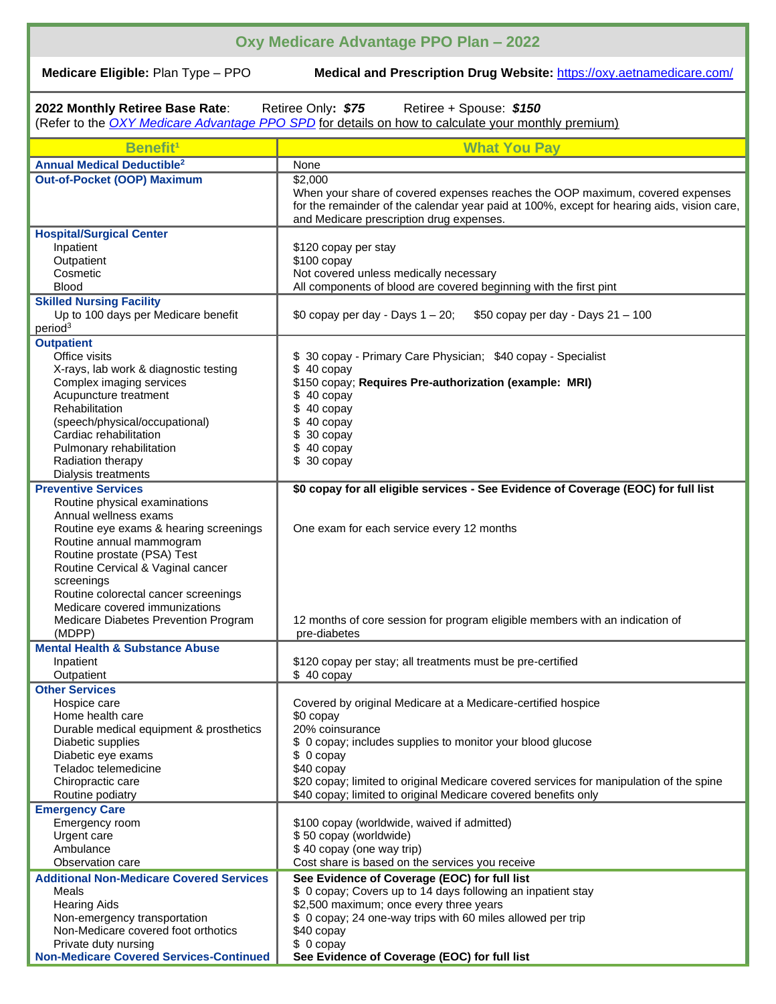| Oxy Medicare Advantage PPO Plan - 2022                                                                                                                                                                                                                                                                                                                                   |                                                                                                                                                                                                                                                                                                                                                     |  |
|--------------------------------------------------------------------------------------------------------------------------------------------------------------------------------------------------------------------------------------------------------------------------------------------------------------------------------------------------------------------------|-----------------------------------------------------------------------------------------------------------------------------------------------------------------------------------------------------------------------------------------------------------------------------------------------------------------------------------------------------|--|
| Medicare Eligible: Plan Type - PPO                                                                                                                                                                                                                                                                                                                                       | Medical and Prescription Drug Website: https://oxy.aetnamedicare.com/                                                                                                                                                                                                                                                                               |  |
| 2022 Monthly Retiree Base Rate:<br>Retiree Only: \$75<br>Retiree + Spouse: \$150<br>(Refer to the OXY Medicare Advantage PPO SPD for details on how to calculate your monthly premium)                                                                                                                                                                                   |                                                                                                                                                                                                                                                                                                                                                     |  |
| Benefit <sup>1</sup>                                                                                                                                                                                                                                                                                                                                                     | <b>What You Pay</b>                                                                                                                                                                                                                                                                                                                                 |  |
| <b>Annual Medical Deductible<sup>2</sup></b>                                                                                                                                                                                                                                                                                                                             | None                                                                                                                                                                                                                                                                                                                                                |  |
| <b>Out-of-Pocket (OOP) Maximum</b>                                                                                                                                                                                                                                                                                                                                       | \$2,000<br>When your share of covered expenses reaches the OOP maximum, covered expenses<br>for the remainder of the calendar year paid at 100%, except for hearing aids, vision care,<br>and Medicare prescription drug expenses.                                                                                                                  |  |
| <b>Hospital/Surgical Center</b><br>Inpatient<br>Outpatient<br>Cosmetic<br><b>Blood</b>                                                                                                                                                                                                                                                                                   | \$120 copay per stay<br>\$100 copay<br>Not covered unless medically necessary<br>All components of blood are covered beginning with the first pint                                                                                                                                                                                                  |  |
| <b>Skilled Nursing Facility</b><br>Up to 100 days per Medicare benefit<br>period <sup>3</sup>                                                                                                                                                                                                                                                                            | \$0 copay per day - Days $1 - 20$ ;<br>$$50$ copay per day - Days 21 - 100                                                                                                                                                                                                                                                                          |  |
| <b>Outpatient</b><br>Office visits<br>X-rays, lab work & diagnostic testing<br>Complex imaging services<br>Acupuncture treatment<br>Rehabilitation<br>(speech/physical/occupational)<br>Cardiac rehabilitation<br>Pulmonary rehabilitation<br>Radiation therapy<br>Dialysis treatments                                                                                   | \$ 30 copay - Primary Care Physician; \$40 copay - Specialist<br>\$40 copy<br>\$150 copay; Requires Pre-authorization (example: MRI)<br>\$40 copy<br>\$40 copay<br>$$40$ copay<br>$$30$ copay<br>\$40 copy<br>\$ 30 copay                                                                                                                           |  |
| <b>Preventive Services</b><br>Routine physical examinations<br>Annual wellness exams<br>Routine eye exams & hearing screenings<br>Routine annual mammogram<br>Routine prostate (PSA) Test<br>Routine Cervical & Vaginal cancer<br>screenings<br>Routine colorectal cancer screenings<br>Medicare covered immunizations<br>Medicare Diabetes Prevention Program<br>(MDPP) | \$0 copay for all eligible services - See Evidence of Coverage (EOC) for full list<br>One exam for each service every 12 months<br>12 months of core session for program eligible members with an indication of<br>pre-diabetes                                                                                                                     |  |
| <b>Mental Health &amp; Substance Abuse</b><br>Inpatient<br>Outpatient                                                                                                                                                                                                                                                                                                    | \$120 copay per stay; all treatments must be pre-certified<br>$$40$ copay                                                                                                                                                                                                                                                                           |  |
| <b>Other Services</b><br>Hospice care<br>Home health care<br>Durable medical equipment & prosthetics<br>Diabetic supplies<br>Diabetic eye exams<br>Teladoc telemedicine<br>Chiropractic care<br>Routine podiatry                                                                                                                                                         | Covered by original Medicare at a Medicare-certified hospice<br>\$0 copay<br>20% coinsurance<br>\$ 0 copay; includes supplies to monitor your blood glucose<br>\$0 copay<br>\$40 copay<br>\$20 copay; limited to original Medicare covered services for manipulation of the spine<br>\$40 copay; limited to original Medicare covered benefits only |  |
| <b>Emergency Care</b><br>Emergency room<br>Urgent care<br>Ambulance<br>Observation care                                                                                                                                                                                                                                                                                  | \$100 copay (worldwide, waived if admitted)<br>\$50 copay (worldwide)<br>\$40 copay (one way trip)<br>Cost share is based on the services you receive                                                                                                                                                                                               |  |
| <b>Additional Non-Medicare Covered Services</b><br>Meals<br><b>Hearing Aids</b><br>Non-emergency transportation<br>Non-Medicare covered foot orthotics<br>Private duty nursing<br><b>Non-Medicare Covered Services-Continued</b>                                                                                                                                         | See Evidence of Coverage (EOC) for full list<br>\$ 0 copay; Covers up to 14 days following an inpatient stay<br>\$2,500 maximum; once every three years<br>\$ 0 copay; 24 one-way trips with 60 miles allowed per trip<br>\$40 copay<br>\$0 copay<br>See Evidence of Coverage (EOC) for full list                                                   |  |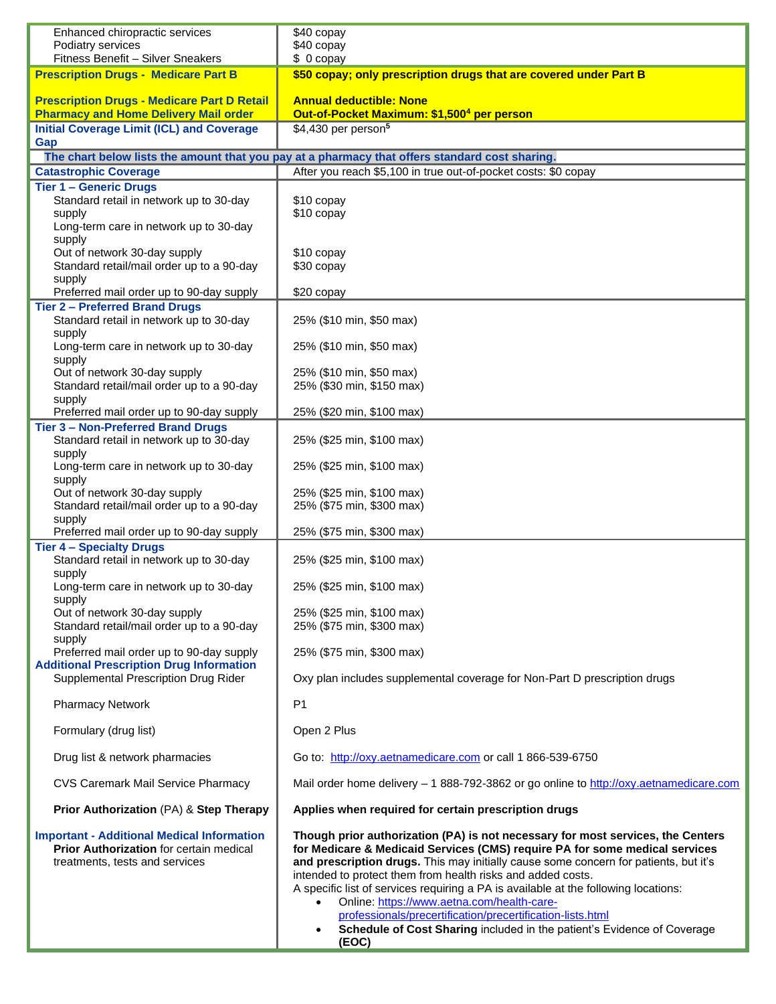|                                                                                                                                       | \$40 copay                                                                                                                                                                                                                                                                                                                                                                                                                                                                                                                                                                                                   |
|---------------------------------------------------------------------------------------------------------------------------------------|--------------------------------------------------------------------------------------------------------------------------------------------------------------------------------------------------------------------------------------------------------------------------------------------------------------------------------------------------------------------------------------------------------------------------------------------------------------------------------------------------------------------------------------------------------------------------------------------------------------|
| Podiatry services                                                                                                                     |                                                                                                                                                                                                                                                                                                                                                                                                                                                                                                                                                                                                              |
| Fitness Benefit - Silver Sneakers                                                                                                     | \$0 copay                                                                                                                                                                                                                                                                                                                                                                                                                                                                                                                                                                                                    |
| <b>Prescription Drugs - Medicare Part B</b>                                                                                           | \$50 copay; only prescription drugs that are covered under Part B                                                                                                                                                                                                                                                                                                                                                                                                                                                                                                                                            |
| <b>Prescription Drugs - Medicare Part D Retail</b>                                                                                    | <b>Annual deductible: None</b>                                                                                                                                                                                                                                                                                                                                                                                                                                                                                                                                                                               |
| <b>Pharmacy and Home Delivery Mail order</b>                                                                                          | Out-of-Pocket Maximum: \$1,500 <sup>4</sup> per person                                                                                                                                                                                                                                                                                                                                                                                                                                                                                                                                                       |
| <b>Initial Coverage Limit (ICL) and Coverage</b><br><b>Gap</b>                                                                        | \$4,430 per person <sup>5</sup>                                                                                                                                                                                                                                                                                                                                                                                                                                                                                                                                                                              |
|                                                                                                                                       | The chart below lists the amount that you pay at a pharmacy that offers standard cost sharing.                                                                                                                                                                                                                                                                                                                                                                                                                                                                                                               |
| <b>Catastrophic Coverage</b>                                                                                                          | After you reach \$5,100 in true out-of-pocket costs: \$0 copay                                                                                                                                                                                                                                                                                                                                                                                                                                                                                                                                               |
| <b>Tier 1 - Generic Drugs</b>                                                                                                         |                                                                                                                                                                                                                                                                                                                                                                                                                                                                                                                                                                                                              |
| Standard retail in network up to 30-day<br>supply                                                                                     | \$10 copay<br>\$10 copay                                                                                                                                                                                                                                                                                                                                                                                                                                                                                                                                                                                     |
| Long-term care in network up to 30-day<br>supply                                                                                      |                                                                                                                                                                                                                                                                                                                                                                                                                                                                                                                                                                                                              |
| Out of network 30-day supply                                                                                                          | \$10 copay                                                                                                                                                                                                                                                                                                                                                                                                                                                                                                                                                                                                   |
| Standard retail/mail order up to a 90-day                                                                                             | \$30 copay                                                                                                                                                                                                                                                                                                                                                                                                                                                                                                                                                                                                   |
| supply<br>Preferred mail order up to 90-day supply                                                                                    | \$20 copay                                                                                                                                                                                                                                                                                                                                                                                                                                                                                                                                                                                                   |
| <b>Tier 2 - Preferred Brand Drugs</b>                                                                                                 |                                                                                                                                                                                                                                                                                                                                                                                                                                                                                                                                                                                                              |
| Standard retail in network up to 30-day<br>supply                                                                                     | 25% (\$10 min, \$50 max)                                                                                                                                                                                                                                                                                                                                                                                                                                                                                                                                                                                     |
| Long-term care in network up to 30-day<br>supply                                                                                      | 25% (\$10 min, \$50 max)                                                                                                                                                                                                                                                                                                                                                                                                                                                                                                                                                                                     |
| Out of network 30-day supply                                                                                                          | 25% (\$10 min, \$50 max)                                                                                                                                                                                                                                                                                                                                                                                                                                                                                                                                                                                     |
| Standard retail/mail order up to a 90-day                                                                                             | 25% (\$30 min, \$150 max)                                                                                                                                                                                                                                                                                                                                                                                                                                                                                                                                                                                    |
| supply                                                                                                                                |                                                                                                                                                                                                                                                                                                                                                                                                                                                                                                                                                                                                              |
| Preferred mail order up to 90-day supply                                                                                              | 25% (\$20 min, \$100 max)                                                                                                                                                                                                                                                                                                                                                                                                                                                                                                                                                                                    |
| <b>Tier 3 - Non-Preferred Brand Drugs</b><br>Standard retail in network up to 30-day                                                  | 25% (\$25 min, \$100 max)                                                                                                                                                                                                                                                                                                                                                                                                                                                                                                                                                                                    |
| supply<br>Long-term care in network up to 30-day<br>supply                                                                            | 25% (\$25 min, \$100 max)                                                                                                                                                                                                                                                                                                                                                                                                                                                                                                                                                                                    |
| Out of network 30-day supply                                                                                                          | 25% (\$25 min, \$100 max)                                                                                                                                                                                                                                                                                                                                                                                                                                                                                                                                                                                    |
| Standard retail/mail order up to a 90-day<br>supply                                                                                   | 25% (\$75 min, \$300 max)                                                                                                                                                                                                                                                                                                                                                                                                                                                                                                                                                                                    |
| Preferred mail order up to 90-day supply                                                                                              | 25% (\$75 min, \$300 max)                                                                                                                                                                                                                                                                                                                                                                                                                                                                                                                                                                                    |
| <b>Tier 4 - Specialty Drugs</b>                                                                                                       |                                                                                                                                                                                                                                                                                                                                                                                                                                                                                                                                                                                                              |
| Standard retail in network up to 30-day<br>supply                                                                                     | 25% (\$25 min, \$100 max)                                                                                                                                                                                                                                                                                                                                                                                                                                                                                                                                                                                    |
| Long-term care in network up to 30-day<br>supply                                                                                      | 25% (\$25 min, \$100 max)                                                                                                                                                                                                                                                                                                                                                                                                                                                                                                                                                                                    |
| Out of network 30-day supply<br>Standard retail/mail order up to a 90-day                                                             | 25% (\$25 min, \$100 max)<br>25% (\$75 min, \$300 max)                                                                                                                                                                                                                                                                                                                                                                                                                                                                                                                                                       |
| supply<br>Preferred mail order up to 90-day supply                                                                                    | 25% (\$75 min, \$300 max)                                                                                                                                                                                                                                                                                                                                                                                                                                                                                                                                                                                    |
| <b>Additional Prescription Drug Information</b><br>Supplemental Prescription Drug Rider                                               | Oxy plan includes supplemental coverage for Non-Part D prescription drugs                                                                                                                                                                                                                                                                                                                                                                                                                                                                                                                                    |
| <b>Pharmacy Network</b>                                                                                                               | P <sub>1</sub>                                                                                                                                                                                                                                                                                                                                                                                                                                                                                                                                                                                               |
| Formulary (drug list)                                                                                                                 | Open 2 Plus                                                                                                                                                                                                                                                                                                                                                                                                                                                                                                                                                                                                  |
| Drug list & network pharmacies                                                                                                        | Go to: http://oxy.aethamedicare.com or call 1 866-539-6750                                                                                                                                                                                                                                                                                                                                                                                                                                                                                                                                                   |
| CVS Caremark Mail Service Pharmacy                                                                                                    | Mail order home delivery - 1 888-792-3862 or go online to http://oxy.aetnamedicare.com                                                                                                                                                                                                                                                                                                                                                                                                                                                                                                                       |
| Prior Authorization (PA) & Step Therapy                                                                                               | Applies when required for certain prescription drugs                                                                                                                                                                                                                                                                                                                                                                                                                                                                                                                                                         |
|                                                                                                                                       |                                                                                                                                                                                                                                                                                                                                                                                                                                                                                                                                                                                                              |
| <b>Important - Additional Medical Information</b><br><b>Prior Authorization for certain medical</b><br>treatments, tests and services | Though prior authorization (PA) is not necessary for most services, the Centers<br>for Medicare & Medicaid Services (CMS) require PA for some medical services<br>and prescription drugs. This may initially cause some concern for patients, but it's<br>intended to protect them from health risks and added costs.<br>A specific list of services requiring a PA is available at the following locations:<br>Online: https://www.aetna.com/health-care-<br>professionals/precertification/precertification-lists.html<br>Schedule of Cost Sharing included in the patient's Evidence of Coverage<br>(EOC) |